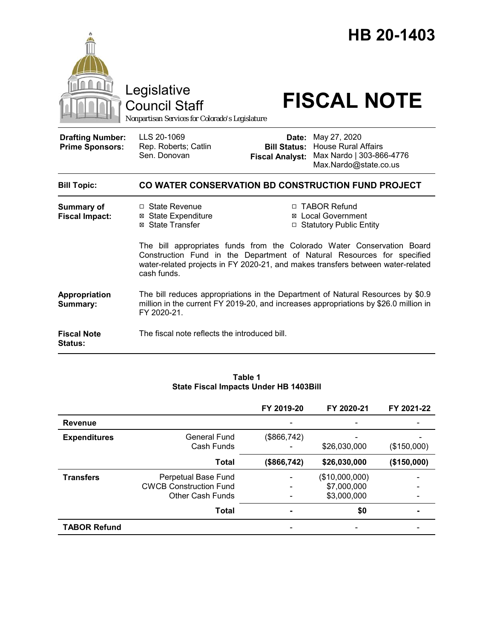|                                                   | Legislative<br><b>Council Staff</b><br>Nonpartisan Services for Colorado's Legislature                                                                                                                                                             |                                                                          | HB 20-1403<br><b>FISCAL NOTE</b>                                                                |  |
|---------------------------------------------------|----------------------------------------------------------------------------------------------------------------------------------------------------------------------------------------------------------------------------------------------------|--------------------------------------------------------------------------|-------------------------------------------------------------------------------------------------|--|
| <b>Drafting Number:</b><br><b>Prime Sponsors:</b> | LLS 20-1069<br>Rep. Roberts; Catlin<br>Sen. Donovan                                                                                                                                                                                                | Date:<br><b>Bill Status:</b><br><b>Fiscal Analyst:</b>                   | May 27, 2020<br><b>House Rural Affairs</b><br>Max Nardo   303-866-4776<br>Max.Nardo@state.co.us |  |
| <b>Bill Topic:</b>                                | CO WATER CONSERVATION BD CONSTRUCTION FUND PROJECT                                                                                                                                                                                                 |                                                                          |                                                                                                 |  |
| <b>Summary of</b><br><b>Fiscal Impact:</b>        | □ State Revenue<br><b>⊠</b> State Expenditure<br>⊠ State Transfer                                                                                                                                                                                  | □ TABOR Refund<br><b>⊠</b> Local Government<br>□ Statutory Public Entity |                                                                                                 |  |
|                                                   | The bill appropriates funds from the Colorado Water Conservation Board<br>Construction Fund in the Department of Natural Resources for specified<br>water-related projects in FY 2020-21, and makes transfers between water-related<br>cash funds. |                                                                          |                                                                                                 |  |
| Appropriation<br>Summary:                         | The bill reduces appropriations in the Department of Natural Resources by \$0.9<br>million in the current FY 2019-20, and increases appropriations by \$26.0 million in<br>FY 2020-21.                                                             |                                                                          |                                                                                                 |  |
| <b>Fiscal Note</b>                                | The fiscal note reflects the introduced bill.                                                                                                                                                                                                      |                                                                          |                                                                                                 |  |

**Status:**

#### **FY 2019-20 FY 2020-21 FY 2021-22 Revenue and the second contract of the second contract of the second contract of the second contract of the second Expenditures** General Fund Cash Funds (\$866,742) - - \$26,030,000 - (\$150,000) **Total (\$866,742) \$26,030,000 (\$150,000) Transfers** Perpetual Base Fund CWCB Construction Fund Other Cash Funds - - - (\$10,000,000) \$7,000,000 \$3,000,000 - - - **Total - \$0 - TABOR Refund** and the state of the state of the state of the state of the state of the state of the state of the state of the state of the state of the state of the state of the state of the state of the state of the stat

#### **Table 1 State Fiscal Impacts Under HB 1403Bill**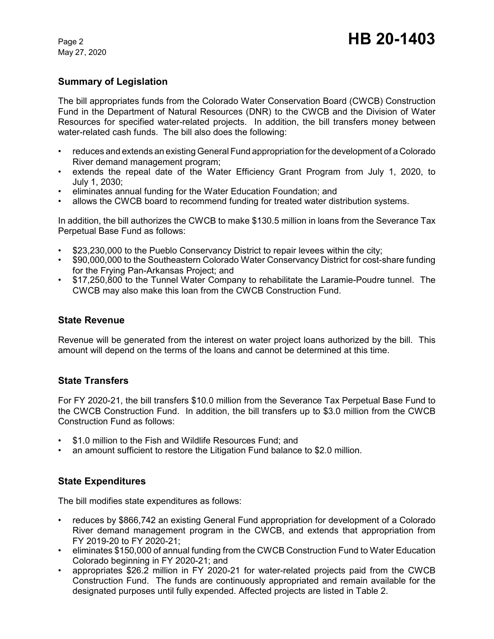May 27, 2020

## **Summary of Legislation**

The bill appropriates funds from the Colorado Water Conservation Board (CWCB) Construction Fund in the Department of Natural Resources (DNR) to the CWCB and the Division of Water Resources for specified water-related projects. In addition, the bill transfers money between water-related cash funds. The bill also does the following:

- reduces and extends an existing General Fund appropriation for the development of a Colorado River demand management program;
- extends the repeal date of the Water Efficiency Grant Program from July 1, 2020, to July 1, 2030;
- eliminates annual funding for the Water Education Foundation; and
- allows the CWCB board to recommend funding for treated water distribution systems.

In addition, the bill authorizes the CWCB to make \$130.5 million in loans from the Severance Tax Perpetual Base Fund as follows:

- \$23,230,000 to the Pueblo Conservancy District to repair levees within the city;
- \$90,000,000 to the Southeastern Colorado Water Conservancy District for cost-share funding for the Frying Pan-Arkansas Project; and
- \$17,250,800 to the Tunnel Water Company to rehabilitate the Laramie-Poudre tunnel. The CWCB may also make this loan from the CWCB Construction Fund.

#### **State Revenue**

Revenue will be generated from the interest on water project loans authorized by the bill. This amount will depend on the terms of the loans and cannot be determined at this time.

#### **State Transfers**

For FY 2020-21, the bill transfers \$10.0 million from the Severance Tax Perpetual Base Fund to the CWCB Construction Fund. In addition, the bill transfers up to \$3.0 million from the CWCB Construction Fund as follows:

- \$1.0 million to the Fish and Wildlife Resources Fund; and
- an amount sufficient to restore the Litigation Fund balance to \$2.0 million.

### **State Expenditures**

The bill modifies state expenditures as follows:

- reduces by \$866,742 an existing General Fund appropriation for development of a Colorado River demand management program in the CWCB, and extends that appropriation from FY 2019-20 to FY 2020-21;
- eliminates \$150,000 of annual funding from the CWCB Construction Fund to Water Education Colorado beginning in FY 2020-21; and
- appropriates \$26.2 million in FY 2020-21 for water-related projects paid from the CWCB Construction Fund. The funds are continuously appropriated and remain available for the designated purposes until fully expended. Affected projects are listed in Table 2.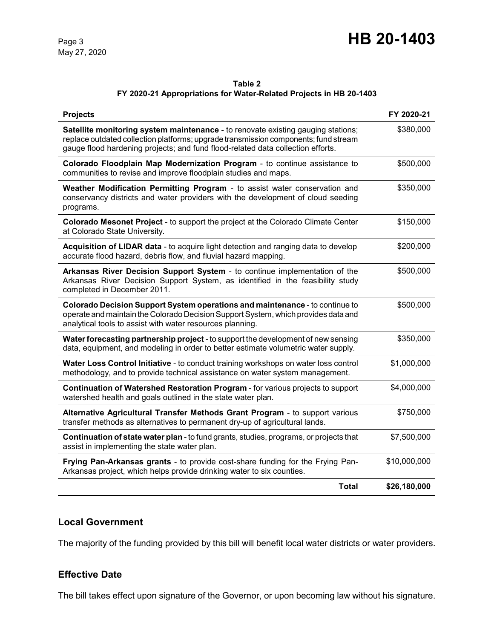May 27, 2020

# Page 3 **HB 20-1403**

#### **Table 2**

#### **FY 2020-21 Appropriations for Water-Related Projects in HB 20-1403**

| <b>Projects</b>                                                                                                                                                                                                                                            | FY 2020-21   |
|------------------------------------------------------------------------------------------------------------------------------------------------------------------------------------------------------------------------------------------------------------|--------------|
| Satellite monitoring system maintenance - to renovate existing gauging stations;<br>replace outdated collection platforms; upgrade transmission components; fund stream<br>gauge flood hardening projects; and fund flood-related data collection efforts. | \$380,000    |
| Colorado Floodplain Map Modernization Program - to continue assistance to<br>communities to revise and improve floodplain studies and maps.                                                                                                                | \$500,000    |
| Weather Modification Permitting Program - to assist water conservation and<br>conservancy districts and water providers with the development of cloud seeding<br>programs.                                                                                 | \$350,000    |
| Colorado Mesonet Project - to support the project at the Colorado Climate Center<br>at Colorado State University.                                                                                                                                          | \$150,000    |
| Acquisition of LIDAR data - to acquire light detection and ranging data to develop<br>accurate flood hazard, debris flow, and fluvial hazard mapping.                                                                                                      | \$200,000    |
| Arkansas River Decision Support System - to continue implementation of the<br>Arkansas River Decision Support System, as identified in the feasibility study<br>completed in December 2011.                                                                | \$500,000    |
| Colorado Decision Support System operations and maintenance - to continue to<br>operate and maintain the Colorado Decision Support System, which provides data and<br>analytical tools to assist with water resources planning.                            | \$500,000    |
| Water forecasting partnership project - to support the development of new sensing<br>data, equipment, and modeling in order to better estimate volumetric water supply.                                                                                    | \$350,000    |
| Water Loss Control Initiative - to conduct training workshops on water loss control<br>methodology, and to provide technical assistance on water system management.                                                                                        | \$1,000,000  |
| Continuation of Watershed Restoration Program - for various projects to support<br>watershed health and goals outlined in the state water plan.                                                                                                            | \$4,000,000  |
| Alternative Agricultural Transfer Methods Grant Program - to support various<br>transfer methods as alternatives to permanent dry-up of agricultural lands.                                                                                                | \$750,000    |
| <b>Continuation of state water plan</b> - to fund grants, studies, programs, or projects that<br>assist in implementing the state water plan.                                                                                                              | \$7,500,000  |
| Frying Pan-Arkansas grants - to provide cost-share funding for the Frying Pan-<br>Arkansas project, which helps provide drinking water to six counties.                                                                                                    | \$10,000,000 |
| <b>Total</b>                                                                                                                                                                                                                                               | \$26,180,000 |

### **Local Government**

The majority of the funding provided by this bill will benefit local water districts or water providers.

### **Effective Date**

The bill takes effect upon signature of the Governor, or upon becoming law without his signature.